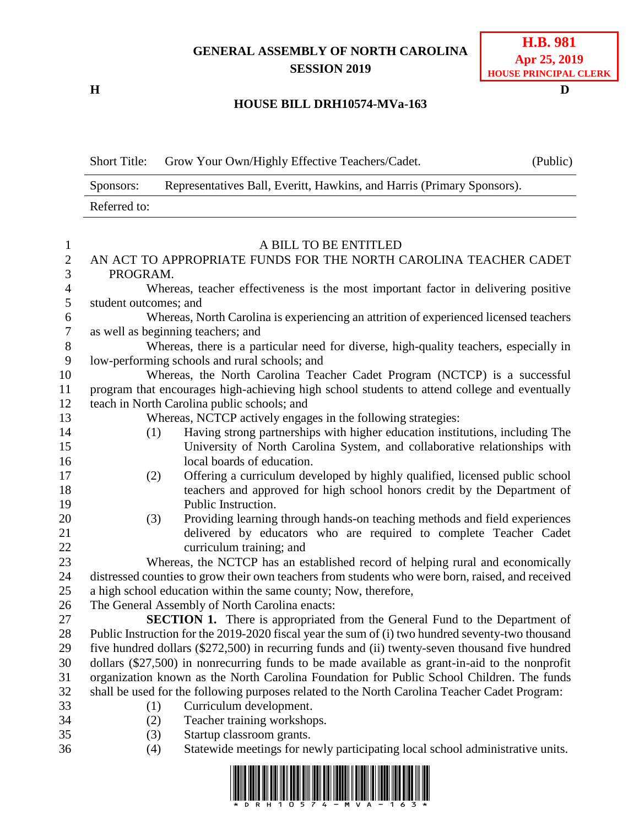## **GENERAL ASSEMBLY OF NORTH CAROLINA SESSION 2019**

**H D**

## **HOUSE BILL DRH10574-MVa-163**

Short Title: Grow Your Own/Highly Effective Teachers/Cadet. (Public) Sponsors: Representatives Ball, Everitt, Hawkins, and Harris (Primary Sponsors). Referred to:

| $\mathbf{1}$     | A BILL TO BE ENTITLED                                                                            |                                                                                                  |  |  |
|------------------|--------------------------------------------------------------------------------------------------|--------------------------------------------------------------------------------------------------|--|--|
| $\mathbf{2}$     | AN ACT TO APPROPRIATE FUNDS FOR THE NORTH CAROLINA TEACHER CADET                                 |                                                                                                  |  |  |
| 3                | PROGRAM.                                                                                         |                                                                                                  |  |  |
| $\overline{4}$   |                                                                                                  | Whereas, teacher effectiveness is the most important factor in delivering positive               |  |  |
| 5                | student outcomes; and                                                                            |                                                                                                  |  |  |
| 6                |                                                                                                  | Whereas, North Carolina is experiencing an attrition of experienced licensed teachers            |  |  |
| $\overline{7}$   | as well as beginning teachers; and                                                               |                                                                                                  |  |  |
| $8\,$            | Whereas, there is a particular need for diverse, high-quality teachers, especially in            |                                                                                                  |  |  |
| $\boldsymbol{9}$ | low-performing schools and rural schools; and                                                    |                                                                                                  |  |  |
| $10\,$           |                                                                                                  | Whereas, the North Carolina Teacher Cadet Program (NCTCP) is a successful                        |  |  |
| 11               |                                                                                                  | program that encourages high-achieving high school students to attend college and eventually     |  |  |
| 12               | teach in North Carolina public schools; and                                                      |                                                                                                  |  |  |
| 13               | Whereas, NCTCP actively engages in the following strategies:                                     |                                                                                                  |  |  |
| 14               | (1)                                                                                              | Having strong partnerships with higher education institutions, including The                     |  |  |
| 15               |                                                                                                  | University of North Carolina System, and collaborative relationships with                        |  |  |
| 16               |                                                                                                  | local boards of education.                                                                       |  |  |
| 17               | (2)                                                                                              | Offering a curriculum developed by highly qualified, licensed public school                      |  |  |
| 18               |                                                                                                  | teachers and approved for high school honors credit by the Department of                         |  |  |
| 19               |                                                                                                  | Public Instruction.                                                                              |  |  |
| 20               | (3)                                                                                              | Providing learning through hands-on teaching methods and field experiences                       |  |  |
| 21               |                                                                                                  | delivered by educators who are required to complete Teacher Cadet                                |  |  |
| 22               |                                                                                                  | curriculum training; and                                                                         |  |  |
| 23               | Whereas, the NCTCP has an established record of helping rural and economically                   |                                                                                                  |  |  |
| 24               | distressed counties to grow their own teachers from students who were born, raised, and received |                                                                                                  |  |  |
| 25               | a high school education within the same county; Now, therefore,                                  |                                                                                                  |  |  |
| 26               |                                                                                                  | The General Assembly of North Carolina enacts:                                                   |  |  |
| 27               |                                                                                                  | <b>SECTION 1.</b> There is appropriated from the General Fund to the Department of               |  |  |
| 28               |                                                                                                  | Public Instruction for the 2019-2020 fiscal year the sum of (i) two hundred seventy-two thousand |  |  |
| 29               | five hundred dollars (\$272,500) in recurring funds and (ii) twenty-seven thousand five hundred  |                                                                                                  |  |  |
| 30               |                                                                                                  | dollars $(\$27,500)$ in nonrecurring funds to be made available as grant-in-aid to the nonprofit |  |  |
| 31               | organization known as the North Carolina Foundation for Public School Children. The funds        |                                                                                                  |  |  |
| 32               |                                                                                                  | shall be used for the following purposes related to the North Carolina Teacher Cadet Program:    |  |  |
| 33               | (1)                                                                                              | Curriculum development.                                                                          |  |  |
| 34               | (2)                                                                                              | Teacher training workshops.                                                                      |  |  |
| 35               | (3)                                                                                              | Startup classroom grants.                                                                        |  |  |
| 36               | (4)                                                                                              | Statewide meetings for newly participating local school administrative units.                    |  |  |